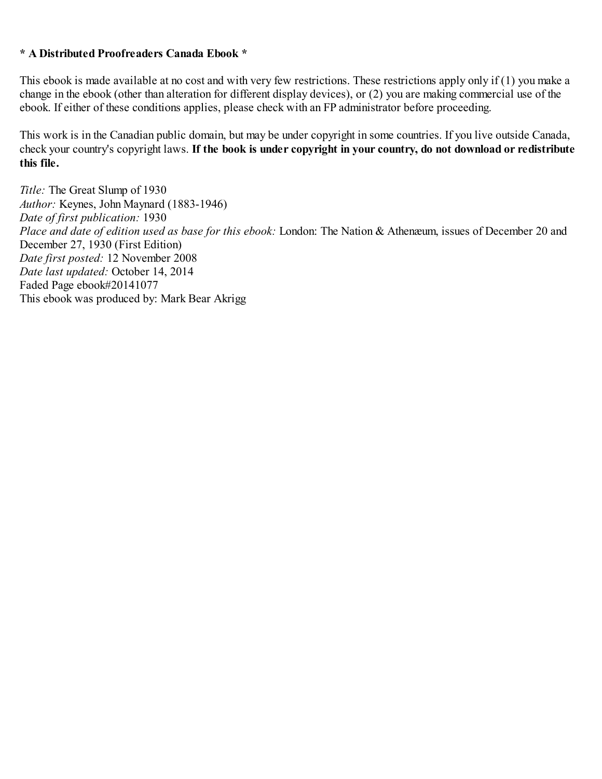## **\* A Distributed Proofreaders Canada Ebook \***

This ebook is made available at no cost and with very few restrictions. These restrictions apply only if (1) you make a change in the ebook (other than alteration for different display devices), or (2) you are making commercial use of the ebook. If either of these conditions applies, please check with an FP administrator before proceeding.

This work is in the Canadian public domain, but may be under copyright in some countries. If you live outside Canada, check your country's copyright laws. **If the book is under copyright in your country, do not download or redistribute this file.**

*Title:* The Great Slump of 1930 *Author:* Keynes, John Maynard (1883-1946) *Date of first publication:* 1930 *Place and date of edition used as base for this ebook:* London: The Nation & Athenæum, issues of December 20 and December 27, 1930 (First Edition) *Date first posted:* 12 November 2008 *Date last updated:* October 14, 2014 Faded Page ebook#20141077 This ebook was produced by: Mark Bear Akrigg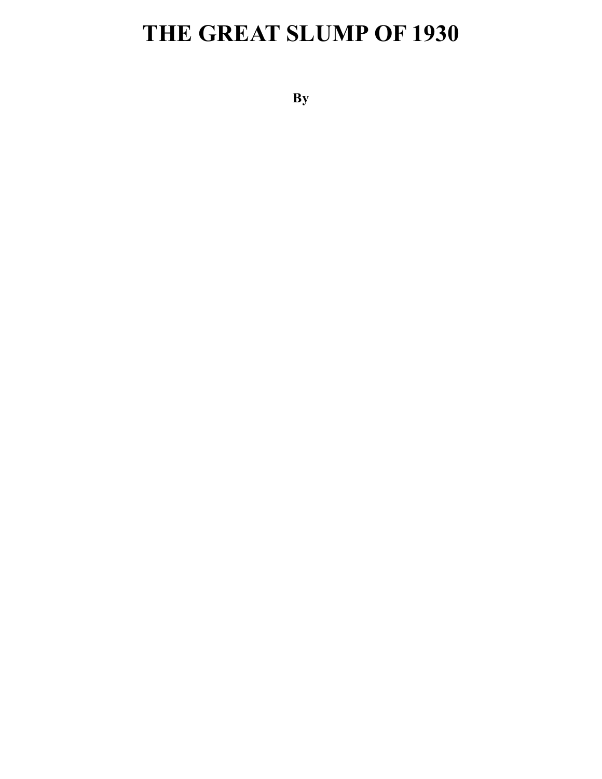## THE GREAT SLUMP OF 1930

 $\mathbf{B}\mathbf{y}$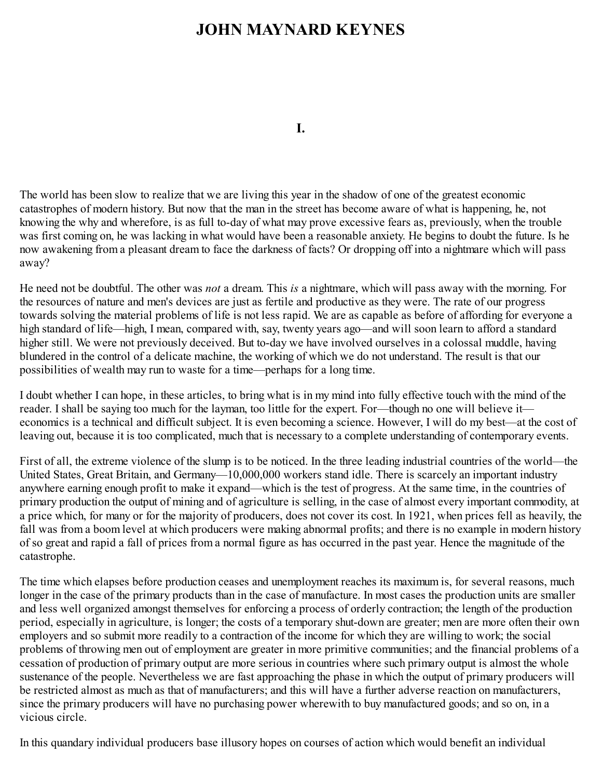## **JOHN MAYNARD KEYNES**

**I.**

The world has been slow to realize that we are living this year in the shadow of one of the greatest economic catastrophes of modern history. But now that the man in the street has become aware of what is happening, he, not knowing the why and wherefore, is as full to-day of what may prove excessive fears as, previously, when the trouble was first coming on, he was lacking in what would have been a reasonable anxiety. He begins to doubt the future. Is he now awakening from a pleasant dream to face the darkness of facts? Or dropping off into a nightmare which will pass away?

He need not be doubtful. The other was *not* a dream. This *is* a nightmare, which will pass away with the morning. For the resources of nature and men's devices are just as fertile and productive as they were. The rate of our progress towards solving the material problems of life is not less rapid. We are as capable as before of affording for everyone a high standard of life—high, I mean, compared with, say, twenty years ago—and will soon learn to afford a standard higher still. We were not previously deceived. But to-day we have involved ourselves in a colossal muddle, having blundered in the control of a delicate machine, the working of which we do not understand. The result is that our possibilities of wealth may run to waste for a time—perhaps for a long time.

I doubt whether I can hope, in these articles, to bring what is in my mind into fully effective touch with the mind of the reader. I shall be saying too much for the layman, too little for the expert. For—though no one will believe it economics is a technical and difficult subject. It is even becoming a science. However, I will do my best—at the cost of leaving out, because it is too complicated, much that is necessary to a complete understanding of contemporary events.

First of all, the extreme violence of the slump is to be noticed. In the three leading industrial countries of the world—the United States, Great Britain, and Germany—10,000,000 workers stand idle. There is scarcely an important industry anywhere earning enough profit to make it expand—which is the test of progress. At the same time, in the countries of primary production the output of mining and of agriculture is selling, in the case of almost every important commodity, at a price which, for many or for the majority of producers, does not cover its cost. In 1921, when prices fell as heavily, the fall was from a boom level at which producers were making abnormal profits; and there is no example in modern history of so great and rapid a fall of prices from a normal figure as has occurred in the past year. Hence the magnitude of the catastrophe.

The time which elapses before production ceases and unemployment reaches its maximum is, for several reasons, much longer in the case of the primary products than in the case of manufacture. In most cases the production units are smaller and less well organized amongst themselves for enforcing a process of orderly contraction; the length of the production period, especially in agriculture, is longer; the costs of a temporary shut-down are greater; men are more often their own employers and so submit more readily to a contraction of the income for which they are willing to work; the social problems of throwing men out of employment are greater in more primitive communities; and the financial problems of a cessation of production of primary output are more serious in countries where such primary output is almost the whole sustenance of the people. Nevertheless we are fast approaching the phase in which the output of primary producers will be restricted almost as much as that of manufacturers; and this will have a further adverse reaction on manufacturers, since the primary producers will have no purchasing power wherewith to buy manufactured goods; and so on, in a vicious circle.

In this quandary individual producers base illusory hopes on courses of action which would benefit an individual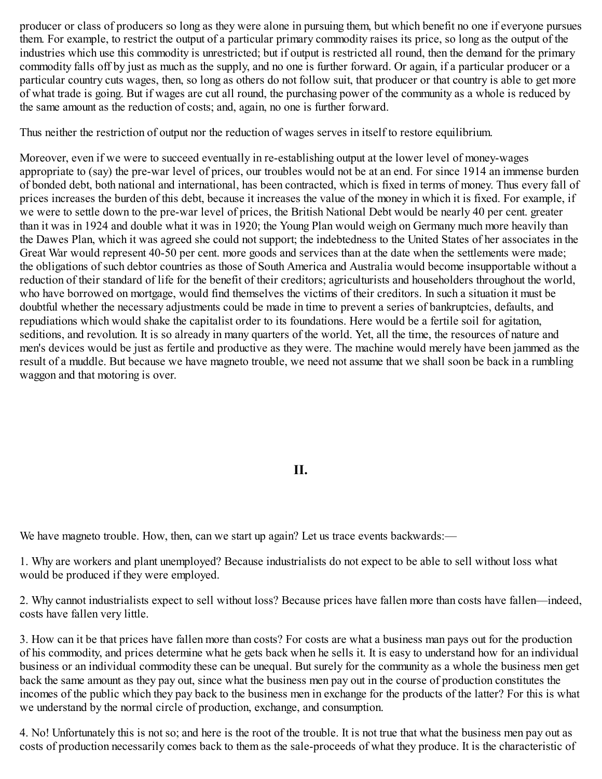producer or class of producers so long as they were alone in pursuing them, but which benefit no one if everyone pursues them. For example, to restrict the output of a particular primary commodity raises its price, so long as the output of the industries which use this commodity is unrestricted; but if output is restricted all round, then the demand for the primary commodity falls off by just as much as the supply, and no one is further forward. Or again, if a particular producer or a particular country cuts wages, then, so long as others do not follow suit, that producer or that country is able to get more of what trade is going. But if wages are cut all round, the purchasing power of the community as a whole is reduced by the same amount as the reduction of costs; and, again, no one is further forward.

Thus neither the restriction of output nor the reduction of wages serves in itself to restore equilibrium.

Moreover, even if we were to succeed eventually in re-establishing output at the lower level of money-wages appropriate to (say) the pre-war level of prices, our troubles would not be at an end. For since 1914 an immense burden of bonded debt, both national and international, has been contracted, which is fixed in terms of money. Thus every fall of prices increases the burden of this debt, because it increases the value of the money in which it is fixed. For example, if we were to settle down to the pre-war level of prices, the British National Debt would be nearly 40 per cent. greater than it was in 1924 and double what it was in 1920; the Young Plan would weigh on Germany much more heavily than the Dawes Plan, which it was agreed she could not support; the indebtedness to the United States of her associates in the Great War would represent 40-50 per cent. more goods and services than at the date when the settlements were made; the obligations of such debtor countries as those of South America and Australia would become insupportable without a reduction of their standard of life for the benefit of their creditors; agriculturists and householders throughout the world, who have borrowed on mortgage, would find themselves the victims of their creditors. In such a situation it must be doubtful whether the necessary adjustments could be made in time to prevent a series of bankruptcies, defaults, and repudiations which would shake the capitalist order to its foundations. Here would be a fertile soil for agitation, seditions, and revolution. It is so already in many quarters of the world. Yet, all the time, the resources of nature and men's devices would be just as fertile and productive as they were. The machine would merely have been jammed as the result of a muddle. But because we have magneto trouble, we need not assume that we shall soon be back in a rumbling waggon and that motoring is over.

## **II.**

We have magneto trouble. How, then, can we start up again? Let us trace events backwards:—

1. Why are workers and plant unemployed? Because industrialists do not expect to be able to sell without loss what would be produced if they were employed.

2. Why cannot industrialists expect to sell without loss? Because prices have fallen more than costs have fallen—indeed, costs have fallen very little.

3. How can it be that prices have fallen more than costs? For costs are what a business man pays out for the production of his commodity, and prices determine what he gets back when he sells it. It is easy to understand how for an individual business or an individual commodity these can be unequal. But surely for the community as a whole the business men get back the same amount as they pay out, since what the business men pay out in the course of production constitutes the incomes of the public which they pay back to the business men in exchange for the products of the latter? For this is what we understand by the normal circle of production, exchange, and consumption.

4. No! Unfortunately this is not so; and here is the root of the trouble. It is not true that what the business men pay out as costs of production necessarily comes back to them as the sale-proceeds of what they produce. It is the characteristic of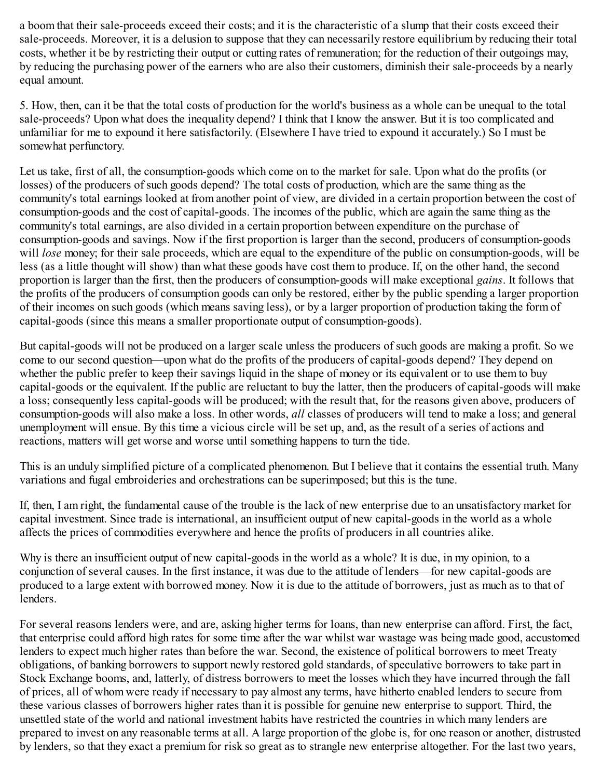a boom that their sale-proceeds exceed their costs; and it is the characteristic of a slump that their costs exceed their sale-proceeds. Moreover, it is a delusion to suppose that they can necessarily restore equilibrium by reducing their total costs, whether it be by restricting their output or cutting rates of remuneration; for the reduction of their outgoings may, by reducing the purchasing power of the earners who are also their customers, diminish their sale-proceeds by a nearly equal amount.

5. How, then, can it be that the total costs of production for the world's business as a whole can be unequal to the total sale-proceeds? Upon what does the inequality depend? I think that I know the answer. But it is too complicated and unfamiliar for me to expound it here satisfactorily. (Elsewhere I have tried to expound it accurately.) So I must be somewhat perfunctory.

Let us take, first of all, the consumption-goods which come on to the market for sale. Upon what do the profits (or losses) of the producers of such goods depend? The total costs of production, which are the same thing as the community's total earnings looked at from another point of view, are divided in a certain proportion between the cost of consumption-goods and the cost of capital-goods. The incomes of the public, which are again the same thing as the community's total earnings, are also divided in a certain proportion between expenditure on the purchase of consumption-goods and savings. Now if the first proportion is larger than the second, producers of consumption-goods will *lose* money; for their sale proceeds, which are equal to the expenditure of the public on consumption-goods, will be less (as a little thought will show) than what these goods have cost them to produce. If, on the other hand, the second proportion is larger than the first, then the producers of consumption-goods will make exceptional *gains*. It follows that the profits of the producers of consumption goods can only be restored, either by the public spending a larger proportion of their incomes on such goods (which means saving less), or by a larger proportion of production taking the form of capital-goods (since this means a smaller proportionate output of consumption-goods).

But capital-goods will not be produced on a larger scale unless the producers of such goods are making a profit. So we come to our second question—upon what do the profits of the producers of capital-goods depend? They depend on whether the public prefer to keep their savings liquid in the shape of money or its equivalent or to use them to buy capital-goods or the equivalent. If the public are reluctant to buy the latter, then the producers of capital-goods will make a loss; consequently less capital-goods will be produced; with the result that, for the reasons given above, producers of consumption-goods will also make a loss. In other words, *all* classes of producers will tend to make a loss; and general unemployment will ensue. By this time a vicious circle will be set up, and, as the result of a series of actions and reactions, matters will get worse and worse until something happens to turn the tide.

This is an unduly simplified picture of a complicated phenomenon. But I believe that it contains the essential truth. Many variations and fugal embroideries and orchestrations can be superimposed; but this is the tune.

If, then, I am right, the fundamental cause of the trouble is the lack of new enterprise due to an unsatisfactory market for capital investment. Since trade is international, an insufficient output of new capital-goods in the world as a whole affects the prices of commodities everywhere and hence the profits of producers in all countries alike.

Why is there an insufficient output of new capital-goods in the world as a whole? It is due, in my opinion, to a conjunction of several causes. In the first instance, it was due to the attitude of lenders—for new capital-goods are produced to a large extent with borrowed money. Now it is due to the attitude of borrowers, just as much as to that of lenders.

For several reasons lenders were, and are, asking higher terms for loans, than new enterprise can afford. First, the fact, that enterprise could afford high rates for some time after the war whilst war wastage was being made good, accustomed lenders to expect much higher rates than before the war. Second, the existence of political borrowers to meet Treaty obligations, of banking borrowers to support newly restored gold standards, of speculative borrowers to take part in Stock Exchange booms, and, latterly, of distress borrowers to meet the losses which they have incurred through the fall of prices, all of whom were ready if necessary to pay almost any terms, have hitherto enabled lenders to secure from these various classes of borrowers higher rates than it is possible for genuine new enterprise to support. Third, the unsettled state of the world and national investment habits have restricted the countries in which many lenders are prepared to invest on any reasonable terms at all. A large proportion of the globe is, for one reason or another, distrusted by lenders, so that they exact a premium for risk so great as to strangle new enterprise altogether. For the last two years,